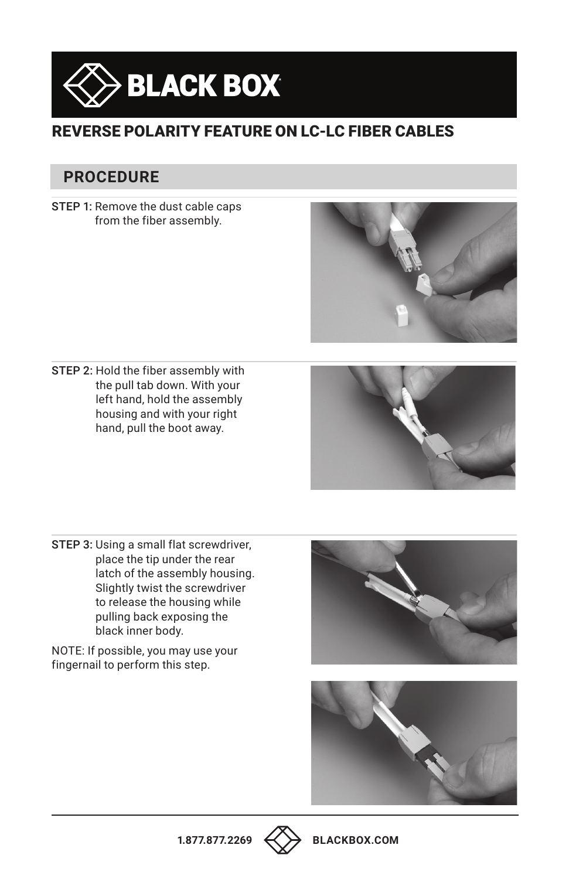

## REVERSE POLARITY FEATURE ON LC-LC FIBER CABLES

## **PROCEDURE**

STEP 1: Remove the dust cable caps from the fiber assembly.



STEP 2: Hold the fiber assembly with the pull tab down. With your left hand, hold the assembly housing and with your right hand, pull the boot away.



STEP 3: Using a small flat screwdriver, place the tip under the rear latch of the assembly housing. Slightly twist the screwdriver to release the housing while pulling back exposing the black inner body.

NOTE: If possible, you may use your fingernail to perform this step.